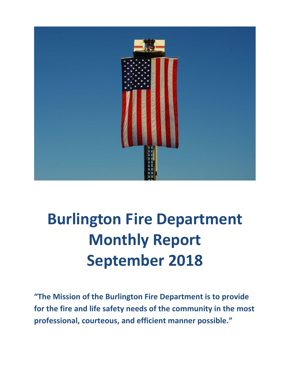

# **Burlington Fire Department Monthly Report September 2018**

**"The Mission of the Burlington Fire Department is to provide for the fire and life safety needs of the community in the most professional, courteous, and efficient manner possible."**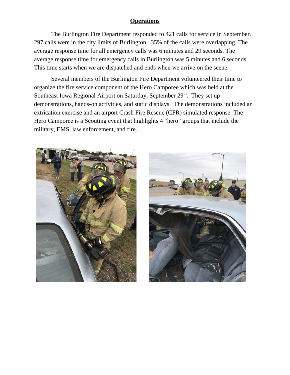#### **Operations**

The Burlington Fire Department responded to 421 calls for service in September. 297 calls were in the city limits of Burlington. 35% of the calls were overlapping. The average response time for all emergency calls was 6 minutes and 29 seconds. The average response time for emergency calls in Burlington was 5 minutes and 6 seconds. This time starts when we are dispatched and ends when we arrive on the scene.

Several members of the Burlington Fire Department volunteered their time to organize the fire service component of the Hero Camporee which was held at the Southeast Iowa Regional Airport on Saturday, September  $29<sup>th</sup>$ . They set up demonstrations, hands-on activities, and static displays. The demonstrations included an extrication exercise and an airport Crash Fire Rescue (CFR) simulated response. The Hero Camporee is a Scouting event that highlights 4 "hero" groups that include the military, EMS, law enforcement, and fire.



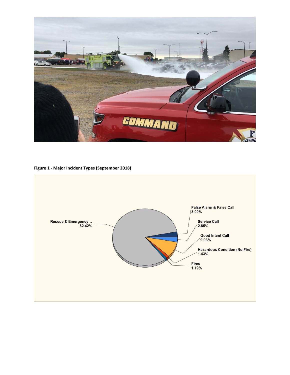

#### **Figure 1 - Major Incident Types (September 2018)**

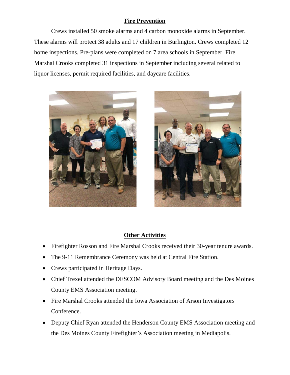#### **Fire Prevention**

Crews installed 50 smoke alarms and 4 carbon monoxide alarms in September. These alarms will protect 38 adults and 17 children in Burlington. Crews completed 12 home inspections. Pre-plans were completed on 7 area schools in September. Fire Marshal Crooks completed 31 inspections in September including several related to liquor licenses, permit required facilities, and daycare facilities.





#### **Other Activities**

- Firefighter Rosson and Fire Marshal Crooks received their 30-year tenure awards.
- The 9-11 Remembrance Ceremony was held at Central Fire Station.
- Crews participated in Heritage Days.
- Chief Trexel attended the DESCOM Advisory Board meeting and the Des Moines County EMS Association meeting.
- Fire Marshal Crooks attended the Iowa Association of Arson Investigators Conference.
- Deputy Chief Ryan attended the Henderson County EMS Association meeting and the Des Moines County Firefighter's Association meeting in Mediapolis.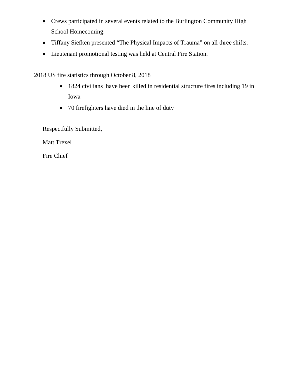- Crews participated in several events related to the Burlington Community High School Homecoming.
- Tiffany Siefken presented "The Physical Impacts of Trauma" on all three shifts.
- Lieutenant promotional testing was held at Central Fire Station.

2018 US fire statistics through October 8, 2018

- 1824 civilians have been killed in residential structure fires including 19 in Iowa
- 70 firefighters have died in the line of duty

Respectfully Submitted,

Matt Trexel

Fire Chief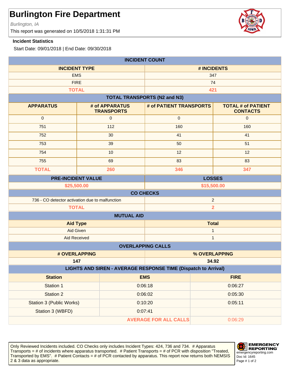Burlington, IA

This report was generated on 10/5/2018 1:31:31 PM

#### **Incident Statistics**

Start Date: 09/01/2018 | End Date: 09/30/2018

| <b>INCIDENT COUNT</b>                                             |                                     |                                     |                                              |  |
|-------------------------------------------------------------------|-------------------------------------|-------------------------------------|----------------------------------------------|--|
| <b>INCIDENT TYPE</b>                                              |                                     |                                     | # INCIDENTS                                  |  |
| <b>EMS</b>                                                        |                                     | 347                                 |                                              |  |
| <b>FIRE</b>                                                       |                                     |                                     | 74                                           |  |
| <b>TOTAL</b>                                                      |                                     |                                     | 421                                          |  |
|                                                                   |                                     | <b>TOTAL TRANSPORTS (N2 and N3)</b> |                                              |  |
| <b>APPARATUS</b>                                                  | # of APPARATUS<br><b>TRANSPORTS</b> | # of PATIENT TRANSPORTS             | <b>TOTAL # of PATIENT</b><br><b>CONTACTS</b> |  |
| $\mathbf{0}$                                                      | $\mathbf{0}$                        | $\mathbf{0}$                        | $\mathbf{0}$                                 |  |
| 751                                                               | 112                                 | 160                                 | 160                                          |  |
| 752                                                               | 30                                  | 41                                  | 41                                           |  |
| 753                                                               | 39                                  | 50                                  | 51                                           |  |
| 754                                                               | 10                                  | 12                                  | 12                                           |  |
| 755                                                               | 69                                  | 83                                  | 83                                           |  |
| <b>TOTAL</b>                                                      | 260                                 | 346                                 | 347                                          |  |
| <b>PRE-INCIDENT VALUE</b><br><b>LOSSES</b>                        |                                     |                                     |                                              |  |
| \$25,500.00<br>\$15,500.00                                        |                                     |                                     |                                              |  |
| <b>CO CHECKS</b>                                                  |                                     |                                     |                                              |  |
| 736 - CO detector activation due to malfunction<br>$\overline{2}$ |                                     |                                     |                                              |  |
| $\overline{\mathbf{2}}$<br><b>TOTAL</b>                           |                                     |                                     |                                              |  |
| <b>MUTUAL AID</b>                                                 |                                     |                                     |                                              |  |
| <b>Aid Type</b>                                                   |                                     | <b>Total</b>                        |                                              |  |
| Aid Given                                                         |                                     | 1                                   |                                              |  |
| <b>Aid Received</b>                                               |                                     |                                     | $\mathbf{1}$                                 |  |
| <b>OVERLAPPING CALLS</b>                                          |                                     |                                     |                                              |  |
| # OVERLAPPING                                                     |                                     |                                     | % OVERLAPPING                                |  |
| 147<br>34.92                                                      |                                     |                                     |                                              |  |
| LIGHTS AND SIREN - AVERAGE RESPONSE TIME (Dispatch to Arrival)    |                                     |                                     |                                              |  |
| <b>Station</b>                                                    |                                     | <b>EMS</b>                          | <b>FIRE</b>                                  |  |
| Station 1                                                         |                                     | 0:06:18                             | 0:06:27                                      |  |
| Station 2                                                         |                                     | 0:06:02                             | 0:05:30                                      |  |
| <b>Station 3 (Public Works)</b>                                   |                                     | 0:10:20                             | 0:05:11                                      |  |
| Station 3 (WBFD)<br>0:07:41                                       |                                     |                                     |                                              |  |
| <b>AVERAGE FOR ALL CALLS</b><br>0:06:29                           |                                     |                                     |                                              |  |

Only Reviewed Incidents included. CO Checks only includes Incident Types: 424, 736 and 734. # Apparatus Transports = # of incidents where apparatus transported. # Patient Transports = # of PCR with disposition "Treated, Transported by EMS". # Patient Contacts = # of PCR contacted by apparatus. This report now returns both NEMSIS 2 & 3 data as appropriate. The set of 2 set of 2 set of 2 set of 2 set of 2 set of 2 set of 2 set of 2 set of 2



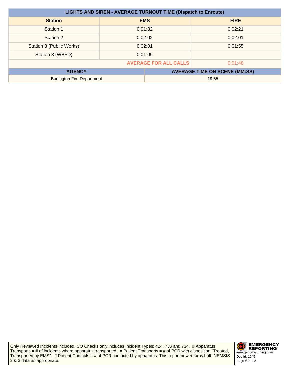| <b>LIGHTS AND SIREN - AVERAGE TURNOUT TIME (Dispatch to Enroute)</b> |         |            |                                      |
|----------------------------------------------------------------------|---------|------------|--------------------------------------|
| <b>Station</b>                                                       |         | <b>EMS</b> | <b>FIRE</b>                          |
| Station 1                                                            |         | 0:01:32    | 0:02:21                              |
| Station 2                                                            | 0:02:02 |            | 0:02:01                              |
| Station 3 (Public Works)                                             | 0:02:01 |            | 0:01:55                              |
| Station 3 (WBFD)                                                     | 0:01:09 |            |                                      |
| <b>AVERAGE FOR ALL CALLS</b><br>0:01:48                              |         |            |                                      |
| <b>AGENCY</b>                                                        |         |            | <b>AVERAGE TIME ON SCENE (MM:SS)</b> |
| <b>Burlington Fire Department</b>                                    |         | 19:55      |                                      |

Only Reviewed Incidents included. CO Checks only includes Incident Types: 424, 736 and 734. # Apparatus Transports = # of incidents where apparatus transported. # Patient Transports = # of PCR with disposition "Treated, Transported by EMS". # Patient Contacts = # of PCR contacted by apparatus. This report now returns both NEMSIS 2 & 3 data as appropriate.

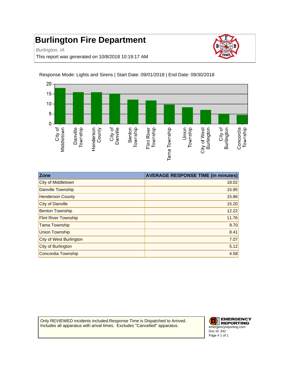Burlington, IA

This report was generated on 10/8/2018 10:19:17 AM





Response Mode: Lights and Sirens | Start Date: 09/01/2018 | End Date: 09/30/2018

| Zone                           | <b>AVERAGE RESPONSE TIME (in minutes)</b> |
|--------------------------------|-------------------------------------------|
| City of Middletown             | 18.02                                     |
| Danville Township              | 15.95                                     |
| <b>Henderson County</b>        | 15.86                                     |
| City of Danville               | 15.20                                     |
| <b>Benton Township</b>         | 12.22                                     |
| <b>Flint River Township</b>    | 11.76                                     |
| <b>Tama Township</b>           | 9.70                                      |
| <b>Union Township</b>          | 8.41                                      |
| <b>City of West Burlington</b> | 7.07                                      |
| City of Burlington             | 5.12                                      |
| Concordia Township             | 4.58                                      |

Only REVIEWED incidents included.Response Time is Dispatched to Arrived. Includes all apparatus with arival times. Excludes "Cancelled" apparatus.

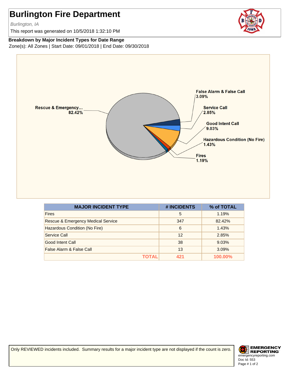Burlington, IA

This report was generated on 10/5/2018 1:32:10 PM



#### **Breakdown by Major Incident Types for Date Range**

Zone(s): All Zones | Start Date: 09/01/2018 | End Date: 09/30/2018



| <b>MAJOR INCIDENT TYPE</b>         | # INCIDENTS | % of TOTAL |
|------------------------------------|-------------|------------|
| <b>Fires</b>                       | 5           | 1.19%      |
| Rescue & Emergency Medical Service | 347         | 82.42%     |
| Hazardous Condition (No Fire)      | 6           | 1.43%      |
| Service Call                       | 12          | 2.85%      |
| Good Intent Call                   | 38          | 9.03%      |
| False Alarm & False Call           | 13          | 3.09%      |
| ΤΟΤΑL                              | 421         | 100.00%    |

Only REVIEWED incidents included. Summary results for a major incident type are not displayed if the count is zero.

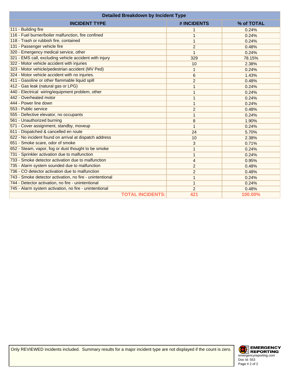| <b>Detailed Breakdown by Incident Type</b>               |                |            |
|----------------------------------------------------------|----------------|------------|
| <b>INCIDENT TYPE</b>                                     | # INCIDENTS    | % of TOTAL |
| 111 - Building fire                                      | 1              | 0.24%      |
| 116 - Fuel burner/boiler malfunction, fire confined      | 1              | 0.24%      |
| 118 - Trash or rubbish fire, contained                   | 1              | 0.24%      |
| 131 - Passenger vehicle fire                             | $\overline{c}$ | 0.48%      |
| 320 - Emergency medical service, other                   | $\mathbf{1}$   | 0.24%      |
| 321 - EMS call, excluding vehicle accident with injury   | 329            | 78.15%     |
| 322 - Motor vehicle accident with injuries               | 10             | 2.38%      |
| 323 - Motor vehicle/pedestrian accident (MV Ped)         | 1              | 0.24%      |
| 324 - Motor vehicle accident with no injuries.           | 6              | 1.43%      |
| 411 - Gasoline or other flammable liquid spill           | $\overline{2}$ | 0.48%      |
| 412 - Gas leak (natural gas or LPG)                      | 1              | 0.24%      |
| 440 - Electrical wiring/equipment problem, other         | 1              | 0.24%      |
| 442 - Overheated motor                                   | 1              | 0.24%      |
| 444 - Power line down                                    | 1              | 0.24%      |
| 553 - Public service                                     | $\overline{c}$ | 0.48%      |
| 555 - Defective elevator, no occupants                   | $\mathbf{1}$   | 0.24%      |
| 561 - Unauthorized burning                               | 8              | 1.90%      |
| 571 - Cover assignment, standby, moveup                  | 1              | 0.24%      |
| 611 - Dispatched & cancelled en route                    | 24             | 5.70%      |
| 622 - No incident found on arrival at dispatch address   | 10             | 2.38%      |
| 651 - Smoke scare, odor of smoke                         | 3              | 0.71%      |
| 652 - Steam, vapor, fog or dust thought to be smoke      | 1              | 0.24%      |
| 731 - Sprinkler activation due to malfunction            | 1              | 0.24%      |
| 733 - Smoke detector activation due to malfunction       | $\overline{4}$ | 0.95%      |
| 735 - Alarm system sounded due to malfunction            | $\overline{2}$ | 0.48%      |
| 736 - CO detector activation due to malfunction          | $\overline{c}$ | 0.48%      |
| 743 - Smoke detector activation, no fire - unintentional | $\mathbf{1}$   | 0.24%      |
| 744 - Detector activation, no fire - unintentional       | 1              | 0.24%      |
| 745 - Alarm system activation, no fire - unintentional   | $\overline{c}$ | 0.48%      |
| <b>TOTAL INCIDENTS:</b>                                  | 421            | 100.00%    |

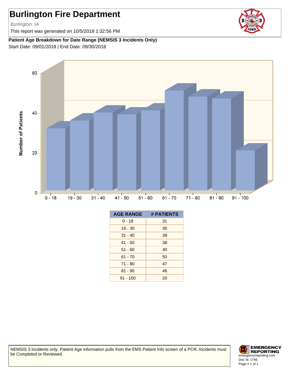Burlington, IA

This report was generated on 10/5/2018 1:32:56 PM

#### **Patient Age Breakdown for Date Range (NEMSIS 3 Incidents Only)**

Start Date: 09/01/2018 | End Date: 09/30/2018



| <b>AGE RANGE</b> | # PATIENTS |
|------------------|------------|
| $0 - 18$         | 31         |
| $19 - 30$        | 35         |
| $31 - 40$        | 39         |
| $41 - 50$        | 38         |
| $51 - 60$        | 40         |
| $61 - 70$        | 50         |
| $71 - 80$        | 47         |
| $81 - 90$        | 46         |
| $91 - 100$       | 20         |

NEMSIS 3 Incidents only. Patient Age information pulls from the EMS Patient Info screen of a PCR. Incidents must be Completed or Reviewed.



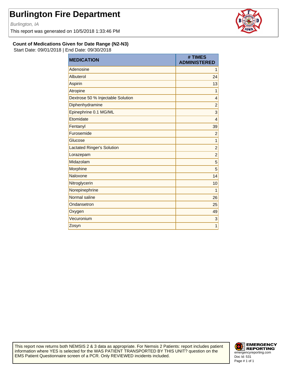Burlington, IA

This report was generated on 10/5/2018 1:33:46 PM



**Count of Medications Given for Date Range (N2-N3)**

Start Date: 09/01/2018 | End Date: 09/30/2018

| <b>MEDICATION</b>                 | # TIMES<br><b>ADMINISTERED</b> |
|-----------------------------------|--------------------------------|
| Adenosine                         | 1                              |
| Albuterol                         | 24                             |
| Aspirin                           | 13                             |
| Atropine                          | 1                              |
| Dextrose 50 % Injectable Solution | 4                              |
| Diphenhydramine                   | $\overline{c}$                 |
| Epinephrine 0.1 MG/ML             | 3                              |
| Etomidate                         | $\overline{4}$                 |
| Fentanyl                          | 39                             |
| Furosemide                        | $\overline{c}$                 |
| Glucose                           | 1                              |
| <b>Lactated Ringer's Solution</b> | $\overline{c}$                 |
| Lorazepam                         | $\overline{c}$                 |
| Midazolam                         | 5                              |
| Morphine                          | 5                              |
| Naloxone                          | 14                             |
| Nitroglycerin                     | 10                             |
| Norepinephrine                    | 1                              |
| Normal saline                     | 26                             |
| Ondansetron                       | 25                             |
| Oxygen                            | 49                             |
| Vecuronium                        | 3                              |
| Zosyn                             | 1                              |

This report now returns both NEMSIS 2 & 3 data as appropriate. For Nemsis 2 Patients: report includes patient information where YES is selected for the WAS PATIENT TRANSPORTED BY THIS UNIT? question on the EMS Patient Questionnaire screen of a PCR. Only REVIEWED incidents included.

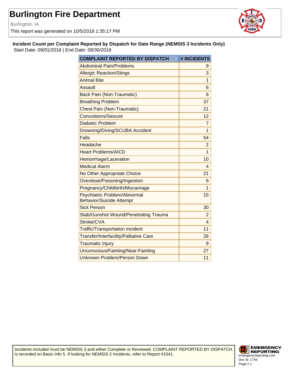Burlington, IA

This report was generated on 10/5/2018 1:35:17 PM



**Incident Count per Complaint Reported by Dispatch for Date Range (NEMSIS 3 Incidents Only)** Start Date: 09/01/2018 | End Date: 09/30/2018

| <b>COMPLAINT REPORTED BY DISPATCH</b>                           | # INCIDENTS     |
|-----------------------------------------------------------------|-----------------|
| <b>Abdominal Pain/Problems</b>                                  | 9               |
| <b>Allergic Reaction/Stings</b>                                 | 3               |
| <b>Animal Bite</b>                                              | 1               |
| Assault                                                         | 6               |
| <b>Back Pain (Non-Traumatic)</b>                                | 6               |
| <b>Breathing Problem</b>                                        | 37              |
| <b>Chest Pain (Non-Traumatic)</b>                               | 21              |
| Convulsions/Seizure                                             | 12 <sup>2</sup> |
| Diabetic Problem                                                | 7               |
| Drowning/Diving/SCUBA Accident                                  | $\mathbf{1}$    |
| <b>Falls</b>                                                    | 54              |
| Headache                                                        | $\overline{2}$  |
| <b>Heart Problems/AICD</b>                                      | $\mathbf{1}$    |
| Hemorrhage/Laceration                                           | 10              |
| <b>Medical Alarm</b>                                            | $\overline{4}$  |
| No Other Appropriate Choice                                     | 21              |
| Overdose/Poisoning/Ingestion                                    | 6               |
| Pregnancy/Childbirth/Miscarriage                                | 1               |
| Psychiatric Problem/Abnormal<br><b>Behavior/Suicide Attempt</b> | 15              |
| <b>Sick Person</b>                                              | 30              |
| <b>Stab/Gunshot Wound/Penetrating Trauma</b>                    | $\overline{2}$  |
| Stroke/CVA                                                      | 4               |
| <b>Traffic/Transportation Incident</b>                          | 11              |
| Transfer/Interfacility/Palliative Care                          | 26              |
| <b>Traumatic Injury</b>                                         | 9               |
| Unconscious/Fainting/Near-Fainting                              | 27              |
| Unknown Problem/Person Down                                     | 11              |

Incidents included must be NEMSIS 3 and either Complete or Reviewed. COMPLAINT REPORTED BY DISPATCH is recorded on Basic Info 5. If looking for NEMSIS 2 Incidents, refer to Report #1041.

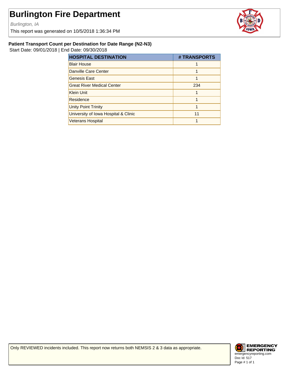Burlington, IA

This report was generated on 10/5/2018 1:36:34 PM



#### **Patient Transport Count per Destination for Date Range (N2-N3)**

Start Date: 09/01/2018 | End Date: 09/30/2018

| <b>HOSPITAL DESTINATION</b>          | # TRANSPORTS |
|--------------------------------------|--------------|
| <b>Blair House</b>                   |              |
| Danville Care Center                 |              |
| <b>Genesis East</b>                  |              |
| <b>Great River Medical Center</b>    | 234          |
| <b>Klein Unit</b>                    |              |
| Residence                            |              |
| <b>Unity Point Trinity</b>           |              |
| University of Iowa Hospital & Clinic | 11           |
| <b>Veterans Hospital</b>             |              |

Only REVIEWED incidents included. This report now returns both NEMSIS 2 & 3 data as appropriate.

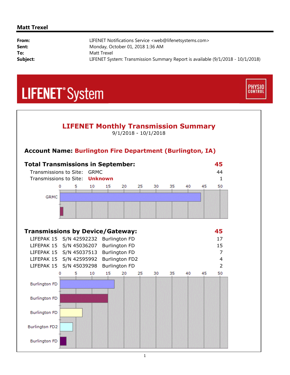#### **Matt Trexel**

| From:    | LIFENET Notifications Service <web@lifenetsystems.com></web@lifenetsystems.com> |
|----------|---------------------------------------------------------------------------------|
| Sent:    | Monday, October 01, 2018 1:36 AM                                                |
| To:      | Matt Trexel                                                                     |
| Subject: | LIFENET System: Transmission Summary Report is available (9/1/2018 - 10/1/2018) |

**PHYSIO**<br>CONTROL

## **LIFENET**<sup>\*</sup>System